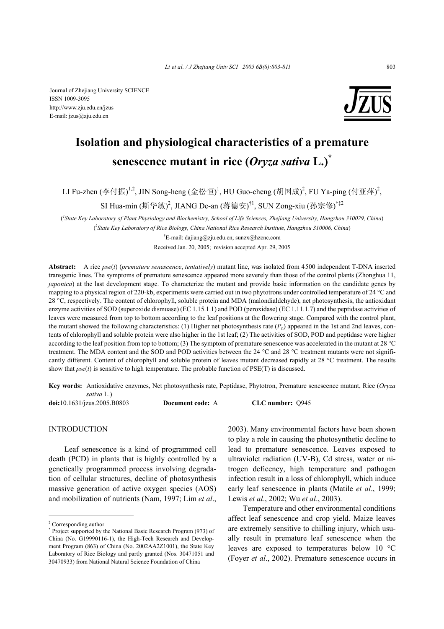Journal of Zhejiang University SCIENCE ISSN 1009-3095 http://www.zju.edu.cn/jzus E-mail: jzus@zju.edu.cn



# **Isolation and physiological characteristics of a premature senescence mutant in rice (***Oryza sativa* **L.)\***

LI Fu-zhen (李付振)<sup>1,2</sup>, JIN Song-heng (金松恒)<sup>1</sup>, HU Guo-cheng (胡国成)<sup>2</sup>, FU Ya-ping (付亚萍)<sup>2</sup>,

SI Hua-min (斯华敏)<sup>2</sup>, JIANG De-an (蒋德安)<sup>†1</sup>, SUN Zong-xiu (孙宗修)<sup>†‡2</sup>

( *1 State Key Laboratory of Plant Physiology and Biochemistry, School of Life Sciences, Zhejiang University, Hangzhou 310029, China*) ( *2 State Key Laboratory of Rice Biology, China National Rice Research Institute, Hangzhou 310006, China*)

† E-mail: dajiang@zju.edu.cn; sunzx@hzcnc.com Received Jan. 20, 2005; revision accepted Apr. 29, 2005

**Abstract:** A rice *pse*(*t*) (*premature senescence*, *tentatively*) mutant line, was isolated from 4500 independent T-DNA inserted transgenic lines. The symptoms of premature senescence appeared more severely than those of the control plants (Zhonghua 11, *japonica*) at the last development stage. To characterize the mutant and provide basic information on the candidate genes by mapping to a physical region of 220-kb, experiments were carried out in two phytotrons under controlled temperature of 24 °C and 28 °C, respectively. The content of chlorophyll, soluble protein and MDA (malondialdehyde), net photosynthesis, the antioxidant enzyme activities of SOD (superoxide dismuase) (EC 1.15.1.1) and POD (peroxidase) (EC 1.11.1.7) and the peptidase activities of leaves were measured from top to bottom according to the leaf positions at the flowering stage. Compared with the control plant, the mutant showed the following characteristics: (1) Higher net photosynthesis rate  $(P_n)$  appeared in the 1st and 2nd leaves, contents of chlorophyll and soluble protein were also higher in the 1st leaf; (2) The activities of SOD, POD and peptidase were higher according to the leaf position from top to bottom; (3) The symptom of premature senescence was accelerated in the mutant at 28 °C treatment. The MDA content and the SOD and POD activities between the 24 °C and 28 °C treatment mutants were not significantly different. Content of chlorophyll and soluble protein of leaves mutant decreased rapidly at 28 °C treatment. The results show that  $pse(t)$  is sensitive to high temperature. The probable function of  $PSE(T)$  is discussed.

**Key words:** Antioxidative enzymes, Net photosynthesis rate, Peptidase, Phytotron, Premature senescence mutant, Rice (*Oryza --sativa* L.) **doi:**10.1631/jzus.2005.B0803 **Document code:** A **CLC number:** Q945

INTRODUCTION

Leaf senescence is a kind of programmed cell death (PCD) in plants that is highly controlled by a genetically programmed process involving degradation of cellular structures, decline of photosynthesis massive generation of active oxygen species (AOS) and mobilization of nutrients (Nam, 1997; Lim *et al*.,

2003). Many environmental factors have been shown to play a role in causing the photosynthetic decline to lead to premature senescence. Leaves exposed to ultraviolet radiation (UV-B), Cd stress, water or nitrogen deficency, high temperature and pathogen infection result in a loss of chlorophyll, which induce early leaf senescence in plants (Matile *et al*., 1999; Lewis *et al*., 2002; Wu *et al*., 2003).

Temperature and other environmental conditions affect leaf senescence and crop yield. Maize leaves are extremely sensitive to chilling injury, which usually result in premature leaf senescence when the leaves are exposed to temperatures below 10 °C (Foyer *et al*., 2002). Premature senescence occurs in

<sup>‡</sup> Corresponding author \* Project supported by the National Basic Research Program (973) of China (No. G19990116-1), the High-Tech Research and Development Program (863) of China (No. 2002AA2Z1001), the State Key Laboratory of Rice Biology and partly granted (Nos. 30471051 and 30470933) from National Natural Science Foundation of China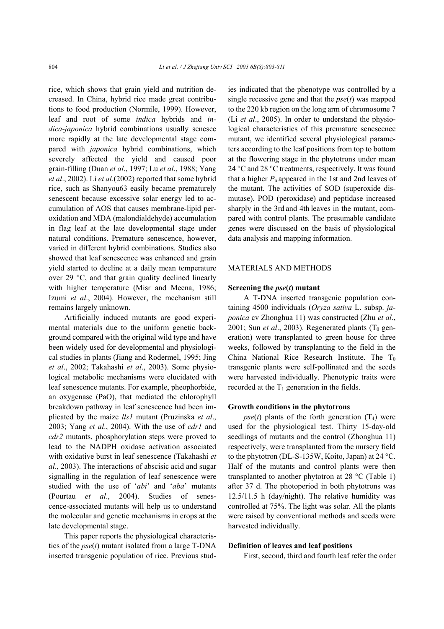rice, which shows that grain yield and nutrition decreased. In China, hybrid rice made great contributions to food production (Normile, 1999). However, leaf and root of some *indica* hybrids and *indica-japonica* hybrid combinations usually senesce more rapidly at the late developmental stage compared with *japonica* hybrid combinations, which severely affected the yield and caused poor grain-filling (Duan *et al*., 1997; Lu *et al*., 1988; Yang *et al*., 2002). Li *et al*.(2002) reported that some hybrid rice, such as Shanyou63 easily became prematurely senescent because excessive solar energy led to accumulation of AOS that causes membrane-lipid peroxidation and MDA (malondialdehyde) accumulation in flag leaf at the late developmental stage under natural conditions. Premature senescence, however, varied in different hybrid combinations. Studies also showed that leaf senescence was enhanced and grain yield started to decline at a daily mean temperature over 29 °C, and that grain quality declined linearly with higher temperature (Misr and Meena, 1986; Izumi *et al*., 2004). However, the mechanism still remains largely unknown.

Artificially induced mutants are good experimental materials due to the uniform genetic background compared with the original wild type and have been widely used for developmental and physiological studies in plants (Jiang and Rodermel, 1995; Jing *et al*., 2002; Takahashi *et al*., 2003). Some physiological metabolic mechanisms were elucidated with leaf senescence mutants. For example, pheophorbide, an oxygenase (PaO), that mediated the chlorophyll breakdown pathway in leaf senescence had been implicated by the maize *lls1* mutant (Pruzinska *et al*., 2003; Yang *et al*., 2004). With the use of *cdr1* and *cdr2* mutants, phosphorylation steps were proved to lead to the NADPH oxidase activation associated with oxidative burst in leaf senescence (Takahashi *et al*., 2003). The interactions of abscisic acid and sugar signalling in the regulation of leaf senescence were studied with the use of '*abi*' and '*aba*' mutants (Pourtau *et al*., 2004). Studies of senescence-associated mutants will help us to understand the molecular and genetic mechanisms in crops at the late developmental stage.

This paper reports the physiological characteristics of the *pse*(*t*) mutant isolated from a large T-DNA inserted transgenic population of rice. Previous studies indicated that the phenotype was controlled by a single recessive gene and that the *pse*(*t*) was mapped to the 220 kb region on the long arm of chromosome 7 (Li *et al*., 2005). In order to understand the physiological characteristics of this premature senescence mutant, we identified several physiological parameters according to the leaf positions from top to bottom at the flowering stage in the phytotrons under mean 24 °C and 28 °C treatments, respectively. It was found that a higher  $P_n$  appeared in the 1st and 2nd leaves of the mutant. The activities of SOD (superoxide dismutase), POD (peroxidase) and peptidase increased sharply in the 3rd and 4th leaves in the mutant, compared with control plants. The presumable candidate genes were discussed on the basis of physiological data analysis and mapping information.

#### MATERIALS AND METHODS

#### **Screening the** *pse***(***t***) mutant**

A T-DNA inserted transgenic population containing 4500 individuals (*Oryza sativa* L. subsp. *japonica* cv Zhonghua 11) was constructed (Zhu *et al*., 2001; Sun *et al.*, 2003). Regenerated plants ( $T_0$  generation) were transplanted to green house for three weeks, followed by transplanting to the field in the China National Rice Research Institute. The  $T_0$ transgenic plants were self-pollinated and the seeds were harvested individually. Phenotypic traits were recorded at the  $T_1$  generation in the fields.

#### **Growth conditions in the phytotrons**

 $pse(t)$  plants of the forth generation  $(T_4)$  were used for the physiological test. Thirty 15-day-old seedlings of mutants and the control (Zhonghua 11) respectively, were transplanted from the nursery field to the phytotron (DL-S-135W, Koito, Japan) at 24 °C. Half of the mutants and control plants were then transplanted to another phytotron at 28 °C (Table 1) after 37 d. The photoperiod in both phytotrons was 12.5/11.5 h (day/night). The relative humidity was controlled at 75%. The light was solar. All the plants were raised by conventional methods and seeds were harvested individually.

#### **Definition of leaves and leaf positions**

First, second, third and fourth leaf refer the order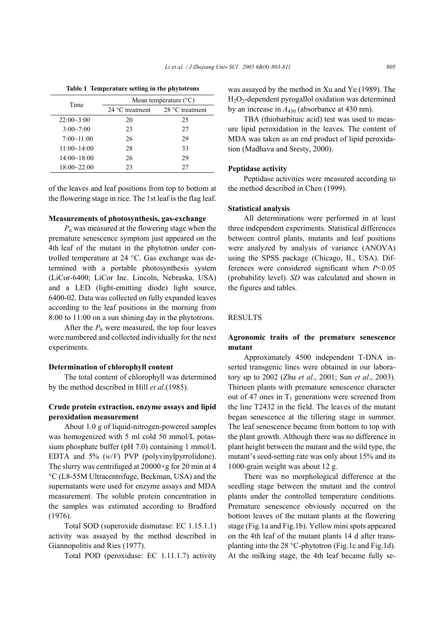|                 | ີ                              |                 |  |  |
|-----------------|--------------------------------|-----------------|--|--|
| Time            | Mean temperature $(^{\circ}C)$ |                 |  |  |
|                 | 24 °C treatment                | 28 °C treatment |  |  |
| $22:00-3:00$    | 20                             | 25              |  |  |
| $3:00 - 7:00$   | 23                             | 27              |  |  |
| 7:00~11:00      | 26                             | 29              |  |  |
| 11:00~14:00     | 28                             | 33              |  |  |
| 14:00~18:00     | 26                             | 29              |  |  |
| $18:00 - 22:00$ | 23                             | 27              |  |  |

**Table 1 Temperature setting in the phytotrons** 

of the leaves and leaf positions from top to bottom at the flowering stage in rice. The 1st leaf is the flag leaf.

#### **Measurements of photosynthesis, gas-exchange**

*P*n was measured at the flowering stage when the premature senescence symptom just appeared on the 4th leaf of the mutant in the phytotron under controlled temperature at 24 °C. Gas exchange was determined with a portable photosynthesis system (LiCor-6400; LiCor Inc. Lincoln, Nebraska, USA) and a LED (light-emitting diode) light source, 6400-02. Data was collected on fully expanded leaves according to the leaf positions in the morning from 8:00 to 11:00 on a sun shining day in the phytotrons.

After the  $P_n$  were measured, the top four leaves were numbered and collected individually for the next experiments.

#### **Determination of chlorophyll content**

The total content of chlorophyll was determined by the method described in Hill *et al*.(1985).

## **Crude protein extraction, enzyme assays and lipid peroxidation measurement**

About 1.0 g of liquid-nitrogen-powered samples was homogenized with 5 ml cold 50 mmol/L potassium phosphate buffer (pH 7.0) containing 1 mmol/L EDTA and 5% (*w*/*V*) PVP (polyvinylpyrrolidone). The slurry was centrifuged at  $20000 \times g$  for 20 min at 4 °C (L8-55M Ultracentrifuge, Beckman, USA) and the supernatants were used for enzyme assays and MDA measurement. The soluble protein concentration in the samples was estimated according to Bradford (1976).

Total SOD (superoxide dismutase: EC 1.15.1.1) activity was assayed by the method described in Giannopolitis and Ries (1977).

Total POD (peroxidase: EC 1.11.1.7) activity

was assayed by the method in Xu and Ye (1989). The H2O2-dependent pyrogallol oxidation was determined by an increase in *A*430 (absorbance at 430 nm).

TBA (thiobarbituic acid) test was used to measure lipid peroxidation in the leaves. The content of MDA was taken as an end product of lipid peroxidation (Madhava and Sresty, 2000).

#### **Peptidase activity**

Peptidase activities were measured according to the method described in Chen (1999).

## **Statistical analysis**

All determinations were performed in at least three independent experiments. Statistical differences between control plants, mutants and leaf positions were analyzed by analysis of variance (ANOVA) using the SPSS package (Chicago, II., USA). Differences were considered significant when *P*<0.05 (probability level). *SD* was calculated and shown in the figures and tables.

## RESULTS

#### **Agronomic traits of the premature senescence mutant**

Approximately 4500 independent T-DNA inserted transgenic lines were obtained in our laboratory up to 2002 (Zhu *et al*., 2001; Sun *et al*., 2003). Thirteen plants with premature senescence character out of 47 ones in  $T_1$  generations were screened from the line T2432 in the field. The leaves of the mutant began senescence at the tillering stage in summer. The leaf senescence became from bottom to top with the plant growth. Although there was no difference in plant height between the mutant and the wild type, the mutant's seed-setting rate was only about 15% and its 1000-grain weight was about 12 g.

There was no morphological difference at the seedling stage between the mutant and the control plants under the controlled temperature conditions. Premature senescence obviously occurred on the bottom leaves of the mutant plants at the flowering stage (Fig.1a and Fig.1b). Yellow mini spots appeared on the 4th leaf of the mutant plants 14 d after transplanting into the 28 °C-phytotron (Fig.1c and Fig.1d). At the milking stage, the 4th leaf became fully se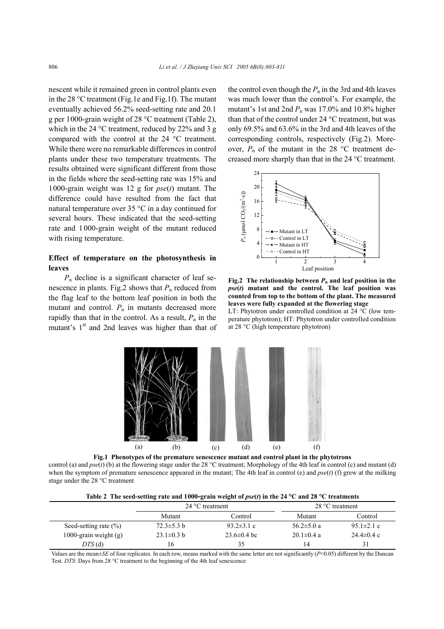nescent while it remained green in control plants even in the 28 °C treatment (Fig.1e and Fig.1f). The mutant eventually achieved 56.2% seed-setting rate and 20.1 g per 1000-grain weight of 28 °C treatment (Table 2), which in the 24 °C treatment, reduced by 22% and 3 g compared with the control at the 24 °C treatment. While there were no remarkable differences in control plants under these two temperature treatments. The results obtained were significant different from those in the fields where the seed-setting rate was 15% and 1000-grain weight was 12 g for *pse*(*t*) mutant. The difference could have resulted from the fact that natural temperature over 35 °C in a day continued for several hours. These indicated that the seed-setting rate and 1 000-grain weight of the mutant reduced with rising temperature.

## **Effect of temperature on the photosynthesis in leaves**

*P*n decline is a significant character of leaf senescence in plants. Fig.2 shows that  $P_n$  reduced from the flag leaf to the bottom leaf position in both the mutant and control.  $P_n$  in mutants decreased more rapidly than that in the control. As a result,  $P_n$  in the mutant's  $1<sup>st</sup>$  and 2nd leaves was higher than that of the control even though the  $P_n$  in the 3rd and 4th leaves was much lower than the control's. For example, the mutant's 1st and 2nd  $P_n$  was 17.0% and 10.8% higher than that of the control under 24 °C treatment, but was only 69.5% and 63.6% in the 3rd and 4th leaves of the corresponding controls, respectively (Fig.2). Moreover,  $P_n$  of the mutant in the 28 °C treatment decreased more sharply than that in the 24 °C treatment.



**Fig.2** The relationship between  $P_n$  and leaf position in the *pse***(***t***) mutant and the control. The leaf position was counted from top to the bottom of the plant. The measured leaves were fully expanded at the flowering stage** 

LT: Phytotron under controlled condition at 24 °C (low temperature phytotron); HT: Phytotron under controlled condition at 28 °C (high temperature phytotron)



control (a) and *pse*(*t*) (b) at the flowering stage under the 28 °C treatment; Morphology of the 4th leaf in control (c) and mutant (d) when the symptom of premature senescence appeared in the mutant; The 4th leaf in control (e) and *pse*(*t*) (f) grew at the milking stage under the 28 °C treatment

| Table 2 The seed-setting rate and 1000-grain weight of $pse(t)$ in the 24 °C and 28 °C treatments |  |  |
|---------------------------------------------------------------------------------------------------|--|--|
|                                                                                                   |  |  |

|                           | $24 °C$ treatment |                  | 28 $\degree$ C treatment |                          |
|---------------------------|-------------------|------------------|--------------------------|--------------------------|
|                           | Mutant            | Control          | Mutant                   | Control                  |
| Seed-setting rate $(\% )$ | $72.3 \pm 5.3 h$  | 93.2 $\pm$ 3.1 c | 56.2 $\pm$ 5.0 a         | 95.1 $\pm$ 2.1 c         |
| 1000-grain weight $(g)$   | $23.1 \pm 0.3$ b  | $23.6\pm0.4$ bc  | $20.1 \pm 0.4$ a         | $24.4 \pm 0.4 \text{ c}$ |
| $DTS$ (d)                 | 16                | 35               | 14                       | 31                       |

Values are the mean±*SE* of four replicates. In each row, means marked with the same letter are not significantly (*P*<0.05) different by the Duncan Test. *DTS*: Days from 28 °C treatment to the beginning of the 4th leaf senescence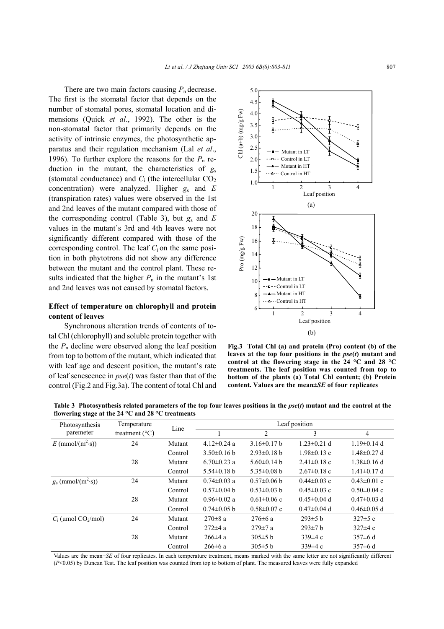There are two main factors causing  $P_n$  decrease. The first is the stomatal factor that depends on the number of stomatal pores, stomatal location and dimensions (Quick *et al*., 1992). The other is the non-stomatal factor that primarily depends on the activity of intrinsic enzymes, the photosynthetic apparatus and their regulation mechanism (Lal *et al*., 1996). To further explore the reasons for the  $P_n$  reduction in the mutant, the characteristics of  $g_s$ (stomatal conductance) and  $C_i$  (the intercellular  $CO_2$ concentration) were analyzed. Higher *g*s and *E* (transpiration rates) values were observed in the 1st and 2nd leaves of the mutant compared with those of the corresponding control (Table 3), but  $g_s$  and  $E$ values in the mutant's 3rd and 4th leaves were not significantly different compared with those of the corresponding control. The leaf  $C_i$  on the same position in both phytotrons did not show any difference between the mutant and the control plant. These results indicated that the higher  $P_n$  in the mutant's 1st and 2nd leaves was not caused by stomatal factors.

## **Effect of temperature on chlorophyll and protein content of leaves**

Synchronous alteration trends of contents of total Chl (chlorophyll) and soluble protein together with the  $P_n$  decline were observed along the leaf position from top to bottom of the mutant, which indicated that with leaf age and descent position, the mutant's rate of leaf senescence in *pse*(*t*) was faster than that of the control (Fig.2 and Fig.3a). The content of total Chl and



**Fig.3 Total Chl (a) and protein (Pro) content (b) of the leaves at the top four positions in the** *pse***(***t***) mutant and control at the flowering stage in the 24 °C and 28 °C treatments. The leaf position was counted from top to bottom of the plants (a) Total Chl content; (b) Protein content. Values are the mean±***SE* **of four replicates** 

| $\frac{1}{2}$ in the stage at the $\frac{24}{2}$ C and $\frac{26}{2}$ C treatments |                         |         |                   |                   |                   |                   |
|------------------------------------------------------------------------------------|-------------------------|---------|-------------------|-------------------|-------------------|-------------------|
| Photosynthesis                                                                     | Temperature             | Line    | Leaf position     |                   |                   |                   |
| paremeter                                                                          | treatment $(^{\circ}C)$ |         |                   | $\overline{c}$    | 3                 | 4                 |
| $E \text{ (mmol/(m²·s))}$                                                          | 24                      | Mutant  | $4.12 \pm 0.24$ a | $3.16\pm0.17$ b   | $1.23 \pm 0.21$ d | $1.19\pm0.14$ d   |
|                                                                                    |                         | Control | $3.50\pm0.16$ b   | $2.93\pm0.18$ h   | $1.98\pm0.13$ c   | $1.48\pm0.27$ d   |
|                                                                                    | 28                      | Mutant  | $6.70 \pm 0.23$ a | $5.60\pm0.14$ b   | $2.41 \pm 0.18$ c | $1.38 \pm 0.16$ d |
|                                                                                    |                         | Control | $5.54\pm0.18$ b   | $5.35 \pm 0.08$ b | $2.67 \pm 0.18$ c | $1.41 \pm 0.17$ d |
| $g_s$ (mmol/(m <sup>2</sup> ·s))                                                   | 24                      | Mutant  | $0.74 \pm 0.03$ a | $0.57\pm0.06$ b   | $0.44\pm0.03$ c   | $0.43 \pm 0.01$ c |
|                                                                                    |                         | Control | $0.57 \pm 0.04$ b | $0.53 \pm 0.03$ b | $0.45 \pm 0.03$ c | $0.50 \pm 0.04$ c |
|                                                                                    | 28                      | Mutant  | $0.96 \pm 0.02$ a | $0.61 \pm 0.06$ c | $0.45 \pm 0.04$ d | $0.47 \pm 0.03$ d |
|                                                                                    |                         | Control | $0.74 \pm 0.05$ b | $0.58 \pm 0.07$ c | $0.47 \pm 0.04$ d | $0.46 \pm 0.05$ d |
| $C_i$ (µmol CO <sub>2</sub> /mol)                                                  | 24                      | Mutant  | $270 \pm 8$ a     | $276 \pm 6$ a     | $293\pm5$ b       | $327 \pm 5$ c     |
|                                                                                    |                         | Control | $272 \pm 4$ a     | $279 \pm 7$ a     | $293 \pm 7$ b     | $327\pm4c$        |
|                                                                                    | 28                      | Mutant  | $266 \pm 4$ a     | $305 \pm 5 b$     | 339 $\pm$ 4 c     | $357 \pm 6$ d     |
|                                                                                    |                         | Control | $266 \pm 6$ a     | $305 \pm 5$ b     | 339 $\pm$ 4 c     | $357 \pm 6$ d     |

**Table 3 Photosynthesis related parameters of the top four leaves positions in the** *pse***(***t***) mutant and the control at the flowering stage at the 24 °C and 28 °C treatments** 

Values are the mean±*SE* of four replicates. In each temperature treatment, means marked with the same letter are not significantly different (*P*<0.05) by Duncan Test. The leaf position was counted from top to bottom of plant. The measured leaves were fully expanded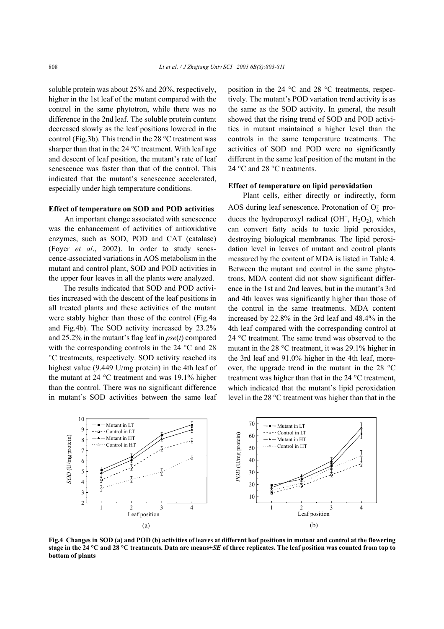soluble protein was about 25% and 20%, respectively, higher in the 1st leaf of the mutant compared with the control in the same phytotron, while there was no difference in the 2nd leaf. The soluble protein content decreased slowly as the leaf positions lowered in the control (Fig.3b). This trend in the 28 °C treatment was sharper than that in the 24 °C treatment. With leaf age and descent of leaf position, the mutant's rate of leaf senescence was faster than that of the control. This indicated that the mutant's senescence accelerated, especially under high temperature conditions.

## **Effect of temperature on SOD and POD activities**

An important change associated with senescence was the enhancement of activities of antioxidative enzymes, such as SOD, POD and CAT (catalase) (Foyer *et al*., 2002). In order to study senescence-associated variations in AOS metabolism in the mutant and control plant, SOD and POD activities in the upper four leaves in all the plants were analyzed.

The results indicated that SOD and POD activities increased with the descent of the leaf positions in all treated plants and these activities of the mutant were stably higher than those of the control (Fig.4a and Fig.4b). The SOD activity increased by 23.2% and 25.2% in the mutant's flag leaf in *pse*(*t*) compared with the corresponding controls in the 24 °C and 28 °C treatments, respectively. SOD activity reached its highest value (9.449 U/mg protein) in the 4th leaf of the mutant at 24 °C treatment and was 19.1% higher than the control. There was no significant difference in mutant's SOD activities between the same leaf position in the 24 °C and 28 °C treatments, respectively. The mutant's POD variation trend activity is as the same as the SOD activity. In general, the result showed that the rising trend of SOD and POD activities in mutant maintained a higher level than the controls in the same temperature treatments. The activities of SOD and POD were no significantly different in the same leaf position of the mutant in the 24 °C and 28 °C treatments.

## **Effect of temperature on lipid peroxidation**

Plant cells, either directly or indirectly, form AOS during leaf senescence. Protonation of  $O_2^-$  produces the hydroperoxyl radical (OH,  $H_2O_2$ ), which can convert fatty acids to toxic lipid peroxides, destroying biological membranes. The lipid peroxidation level in leaves of mutant and control plants measured by the content of MDA is listed in Table 4. Between the mutant and control in the same phytotrons, MDA content did not show significant difference in the 1st and 2nd leaves, but in the mutant's 3rd and 4th leaves was significantly higher than those of the control in the same treatments. MDA content increased by 22.8% in the 3rd leaf and 48.4% in the 4th leaf compared with the corresponding control at 24 °C treatment. The same trend was observed to the mutant in the 28 °C treatment, it was 29.1% higher in the 3rd leaf and 91.0% higher in the 4th leaf, moreover, the upgrade trend in the mutant in the 28 °C treatment was higher than that in the 24 °C treatment, which indicated that the mutant's lipid peroxidation level in the 28 °C treatment was higher than that in the



**Fig.4 Changes in SOD (a) and POD (b) activities of leaves at different leaf positions in mutant and control at the flowering stage in the 24 °C and 28 °C treatments. Data are means±***SE* **of three replicates. The leaf position was counted from top to bottom of plants**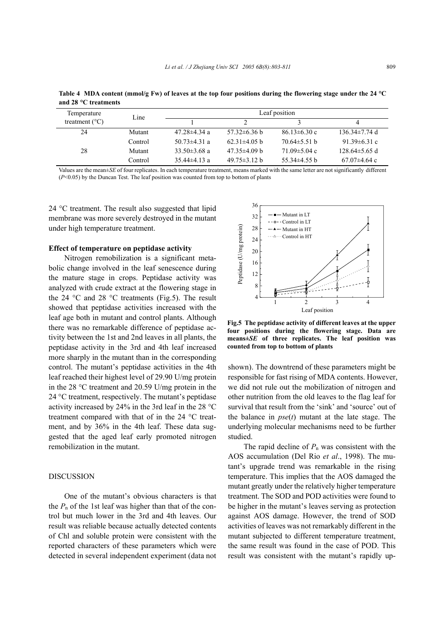| and 20 A. Literaturents |         |                    |                    |                    |                     |
|-------------------------|---------|--------------------|--------------------|--------------------|---------------------|
| Temperature             | Line    | Leaf position      |                    |                    |                     |
| treatment $(^{\circ}C)$ |         |                    |                    |                    | 4                   |
| 24                      | Mutant  | $47.28 \pm 4.34$ a | $57.32\pm 6.36$ b  | $86.13 \pm 6.30$ c | $136.34 \pm 7.74$ d |
|                         | Control | 50.73 $\pm$ 4.31 a | $62.31\pm4.05$ b   | $70.64\pm5.51$ h   | 91.39 $\pm$ 6.31 c  |
| 28                      | Mutant  | 33.50 $\pm$ 3.68 a | $47.35\pm4.09$ b   | $71.09 \pm 5.04$ c | $128.64 \pm 5.65$ d |
|                         | Control | $35.44\pm4.13$ a   | $49.75 \pm 3.12$ h | $55.34\pm4.55$ b   | $67.07\pm4.64$ c    |

**Table 4 MDA content (mmol/g Fw) of leaves at the top four positions during the flowering stage under the 24 °C**  and 28 °C treatments

Values are the mean±*SE* of four replicates. In each temperature treatment, means marked with the same letter are not significantly different (*P*<0.05) by the Duncan Test. The leaf position was counted from top to bottom of plants

24 °C treatment. The result also suggested that lipid membrane was more severely destroyed in the mutant under high temperature treatment.

#### **Effect of temperature on peptidase activity**

Nitrogen remobilization is a significant metabolic change involved in the leaf senescence during the mature stage in crops. Peptidase activity was analyzed with crude extract at the flowering stage in the 24  $\degree$ C and 28  $\degree$ C treatments (Fig.5). The result showed that peptidase activities increased with the leaf age both in mutant and control plants. Although there was no remarkable difference of peptidase activity between the 1st and 2nd leaves in all plants, the peptidase activity in the 3rd and 4th leaf increased more sharply in the mutant than in the corresponding control. The mutant's peptidase activities in the 4th leaf reached their highest level of 29.90 U/mg protein in the 28 °C treatment and 20.59 U/mg protein in the 24 °C treatment, respectively. The mutant's peptidase activity increased by 24% in the 3rd leaf in the 28 °C treatment compared with that of in the 24 °C treatment, and by 36% in the 4th leaf. These data suggested that the aged leaf early promoted nitrogen remobilization in the mutant.

#### DISCUSSION

One of the mutant's obvious characters is that the  $P_n$  of the 1st leaf was higher than that of the control but much lower in the 3rd and 4th leaves. Our result was reliable because actually detected contents of Chl and soluble protein were consistent with the reported characters of these parameters which were detected in several independent experiment (data not



**Fig.5 The peptidase activity of different leaves at the upper four positions during the flowering stage. Data are means±***SE* **of three replicates. The leaf position was counted from top to bottom of plants**

shown). The downtrend of these parameters might be responsible for fast rising of MDA contents. However, we did not rule out the mobilization of nitrogen and other nutrition from the old leaves to the flag leaf for survival that result from the 'sink' and 'source' out of the balance in *pse*(*t*) mutant at the late stage. The underlying molecular mechanisms need to be further studied.

The rapid decline of  $P_n$  was consistent with the AOS accumulation (Del Rio *et al*., 1998). The mutant's upgrade trend was remarkable in the rising temperature. This implies that the AOS damaged the mutant greatly under the relatively higher temperature treatment. The SOD and POD activities were found to be higher in the mutant's leaves serving as protection against AOS damage. However, the trend of SOD activities of leaves was not remarkably different in the mutant subjected to different temperature treatment, the same result was found in the case of POD. This result was consistent with the mutant's rapidly up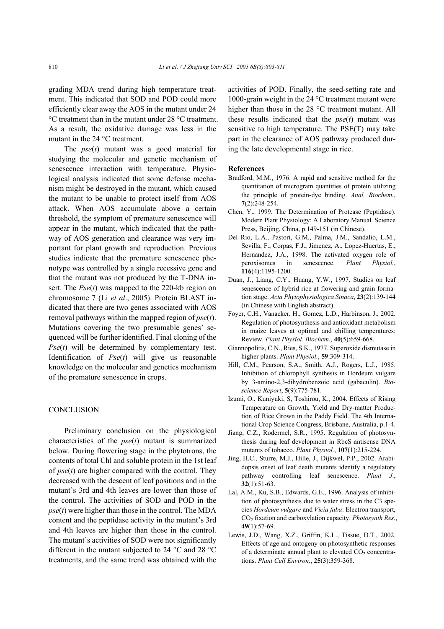grading MDA trend during high temperature treatment. This indicated that SOD and POD could more efficiently clear away the AOS in the mutant under 24 °C treatment than in the mutant under 28 °C treatment. As a result, the oxidative damage was less in the mutant in the 24 °C treatment.

The *pse*(*t*) mutant was a good material for studying the molecular and genetic mechanism of senescence interaction with temperature. Physiological analysis indicated that some defense mechanism might be destroyed in the mutant, which caused the mutant to be unable to protect itself from AOS attack. When AOS accumulate above a certain threshold, the symptom of premature senescence will appear in the mutant, which indicated that the pathway of AOS generation and clearance was very important for plant growth and reproduction. Previous studies indicate that the premature senescence phenotype was controlled by a single recessive gene and that the mutant was not produced by the T-DNA insert. The *Pse*(*t*) was mapped to the 220-kb region on chromosome 7 (Li *et al*., 2005). Protein BLAST indicated that there are two genes associated with AOS removal pathways within the mapped region of *pse*(*t*). Mutations covering the two presumable genes' sequenced will be further identified. Final cloning of the *Pse*(*t*) will be determined by complementary test. Identification of *Pse*(*t*) will give us reasonable knowledge on the molecular and genetics mechanism of the premature senescence in crops.

#### **CONCLUSION**

Preliminary conclusion on the physiological characteristics of the *pse*(*t*) mutant is summarized below. During flowering stage in the phytotrons, the contents of total Chl and soluble protein in the 1st leaf of *pse*(*t*) are higher compared with the control. They decreased with the descent of leaf positions and in the mutant's 3rd and 4th leaves are lower than those of the control. The activities of SOD and POD in the  $pse(t)$  were higher than those in the control. The MDA content and the peptidase activity in the mutant's 3rd and 4th leaves are higher than those in the control. The mutant's activities of SOD were not significantly different in the mutant subjected to 24 °C and 28 °C treatments, and the same trend was obtained with the activities of POD. Finally, the seed-setting rate and 1000-grain weight in the 24 °C treatment mutant were higher than those in the 28 °C treatment mutant. All these results indicated that the *pse*(*t*) mutant was sensitive to high temperature. The PSE(T) may take part in the clearance of AOS pathway produced during the late developmental stage in rice.

#### **References**

- Bradford, M.M., 1976. A rapid and sensitive method for the quantitation of microgram quantities of protein utilizing the principle of protein-dye binding. *Anal. Biochem.*, **7**(2):248-254.
- Chen, Y., 1999. The Determination of Protease (Peptidase). Modern Plant Physiology: A Laboratory Manual. Science Press, Beijing, China, p.149-151 (in Chinese).
- Del Rio, L.A., Pastori, G.M., Palma, J.M., Sandalio, L.M., Sevilla, F., Corpas, F.J., Jimenez, A., Lopez-Huertas, E., Hernandez, J.A., 1998. The activated oxygen role of peroxisomes in senescence. *Plant Physiol.*, **116**(4):1195-1200.
- Duan, J., Liang, C.Y., Huang, Y.W., 1997. Studies on leaf senescence of hybrid rice at flowering and grain formation stage. *Acta Phytophysiologica Sinaca*, **23**(2):139-144 (in Chinese with English abstract).
- Foyer, C.H., Vanacker, H., Gomez, L.D., Harbinson, J., 2002. Regulation of photosynthesis and antioxidant metabolism in maize leaves at optimal and chilling temperatures: Review. *Plant Physiol. Biochem.*, **40**(5):659-668.
- Giannopolitis, C.N., Ries, S.K., 1977. Superoxide dismutase in higher plants. *Plant Physiol.*, **59**:309-314.
- Hill, C.M., Pearson, S.A., Smith, A.J., Rogers, L.J., 1985. Inhibition of chlorophyll synthesis in Hordeum vulgare by 3-amino-2,3-dihydrobenzoic acid (gabaculin). *Bioscience Report*, **5**(9):775-781.
- Izumi, O., Kuniyuki, S, Toshirou, K., 2004. Effects of Rising Temperature on Growth, Yield and Dry-matter Production of Rice Grown in the Paddy Field. The 4th International Crop Science Congress, Brisbane, Australia, p.1-4.
- Jiang, C.Z., Rodermel, S.R., 1995. Regulation of photosynthesis during leaf development in RbcS antisense DNA mutants of tobacco. *Plant Physiol.*, **107**(1):215-224.
- Jing, H.C., Sturre, M.J., Hille, J., Dijkwel, P.P., 2002. Arabidopsis onset of leaf death mutants identify a regulatory pathway controlling leaf senescence. *Plant J*., **32**(1):51-63.
- Lal, A.M., Ku, S.B., Edwards, G.E., 1996. Analysis of inhibition of photosynthesis due to water stress in the C3 species *Hordeum vulgare* and *Vicia faba*: Electron transport, CO2 fixation and carboxylation capacity. *Photosynth Res*., **49**(1):57-69.
- Lewis, J.D., Wang, X.Z., Griffin, K.L., Tissue, D.T., 2002. Effects of age and ontogeny on photosynthetic responses of a determinate annual plant to elevated  $CO<sub>2</sub>$  concentrations. *Plant Cell Environ.*, **25**(3):359-368.